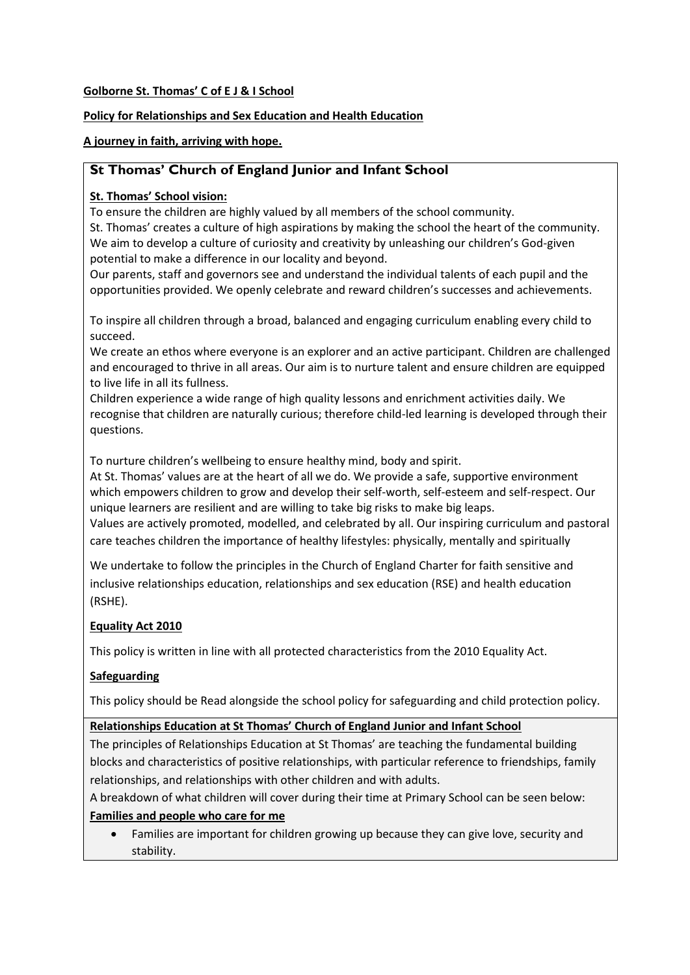#### **Golborne St. Thomas' C of E J & I School**

### **Policy for Relationships and Sex Education and Health Education**

#### **A journey in faith, arriving with hope.**

## **St Thomas' Church of England Junior and Infant School**

### **St. Thomas' School vision:**

To ensure the children are highly valued by all members of the school community.

St. Thomas' creates a culture of high aspirations by making the school the heart of the community. We aim to develop a culture of curiosity and creativity by unleashing our children's God-given potential to make a difference in our locality and beyond.

Our parents, staff and governors see and understand the individual talents of each pupil and the opportunities provided. We openly celebrate and reward children's successes and achievements.

To inspire all children through a broad, balanced and engaging curriculum enabling every child to succeed.

We create an ethos where everyone is an explorer and an active participant. Children are challenged and encouraged to thrive in all areas. Our aim is to nurture talent and ensure children are equipped to live life in all its fullness.

Children experience a wide range of high quality lessons and enrichment activities daily. We recognise that children are naturally curious; therefore child-led learning is developed through their questions.

To nurture children's wellbeing to ensure healthy mind, body and spirit.

At St. Thomas' values are at the heart of all we do. We provide a safe, supportive environment which empowers children to grow and develop their self-worth, self-esteem and self-respect. Our unique learners are resilient and are willing to take big risks to make big leaps.

Values are actively promoted, modelled, and celebrated by all. Our inspiring curriculum and pastoral care teaches children the importance of healthy lifestyles: physically, mentally and spiritually

We undertake to follow the principles in the Church of England Charter for faith sensitive and inclusive relationships education, relationships and sex education (RSE) and health education (RSHE).

### **Equality Act 2010**

This policy is written in line with all protected characteristics from the 2010 Equality Act.

### **Safeguarding**

This policy should be Read alongside the school policy for safeguarding and child protection policy.

#### **Relationships Education at St Thomas' Church of England Junior and Infant School**

The principles of Relationships Education at St Thomas' are teaching the fundamental building blocks and characteristics of positive relationships, with particular reference to friendships, family relationships, and relationships with other children and with adults.

A breakdown of what children will cover during their time at Primary School can be seen below: **Families and people who care for me**

 Families are important for children growing up because they can give love, security and stability.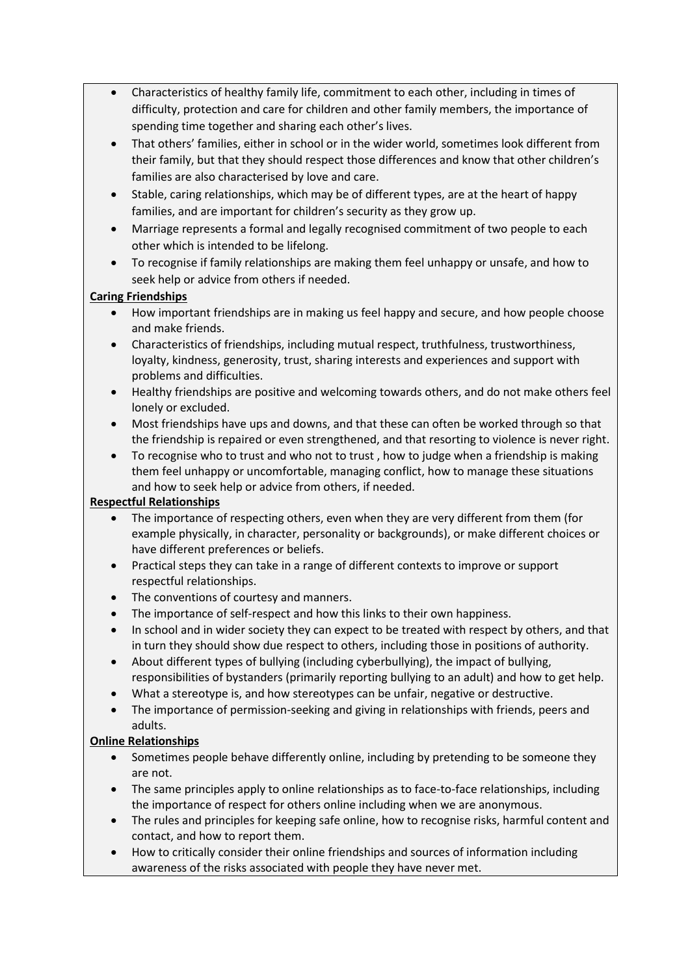- Characteristics of healthy family life, commitment to each other, including in times of difficulty, protection and care for children and other family members, the importance of spending time together and sharing each other's lives.
- That others' families, either in school or in the wider world, sometimes look different from their family, but that they should respect those differences and know that other children's families are also characterised by love and care.
- Stable, caring relationships, which may be of different types, are at the heart of happy families, and are important for children's security as they grow up.
- Marriage represents a formal and legally recognised commitment of two people to each other which is intended to be lifelong.
- To recognise if family relationships are making them feel unhappy or unsafe, and how to seek help or advice from others if needed.

## **Caring Friendships**

- How important friendships are in making us feel happy and secure, and how people choose and make friends.
- Characteristics of friendships, including mutual respect, truthfulness, trustworthiness, loyalty, kindness, generosity, trust, sharing interests and experiences and support with problems and difficulties.
- Healthy friendships are positive and welcoming towards others, and do not make others feel lonely or excluded.
- Most friendships have ups and downs, and that these can often be worked through so that the friendship is repaired or even strengthened, and that resorting to violence is never right.
- To recognise who to trust and who not to trust , how to judge when a friendship is making them feel unhappy or uncomfortable, managing conflict, how to manage these situations and how to seek help or advice from others, if needed.

# **Respectful Relationships**

- The importance of respecting others, even when they are very different from them (for example physically, in character, personality or backgrounds), or make different choices or have different preferences or beliefs.
- Practical steps they can take in a range of different contexts to improve or support respectful relationships.
- The conventions of courtesy and manners.
- The importance of self-respect and how this links to their own happiness.
- In school and in wider society they can expect to be treated with respect by others, and that in turn they should show due respect to others, including those in positions of authority.
- About different types of bullying (including cyberbullying), the impact of bullying, responsibilities of bystanders (primarily reporting bullying to an adult) and how to get help.
- What a stereotype is, and how stereotypes can be unfair, negative or destructive.
- The importance of permission-seeking and giving in relationships with friends, peers and adults.

# **Online Relationships**

- Sometimes people behave differently online, including by pretending to be someone they are not.
- The same principles apply to online relationships as to face-to-face relationships, including the importance of respect for others online including when we are anonymous.
- The rules and principles for keeping safe online, how to recognise risks, harmful content and contact, and how to report them.
- How to critically consider their online friendships and sources of information including awareness of the risks associated with people they have never met.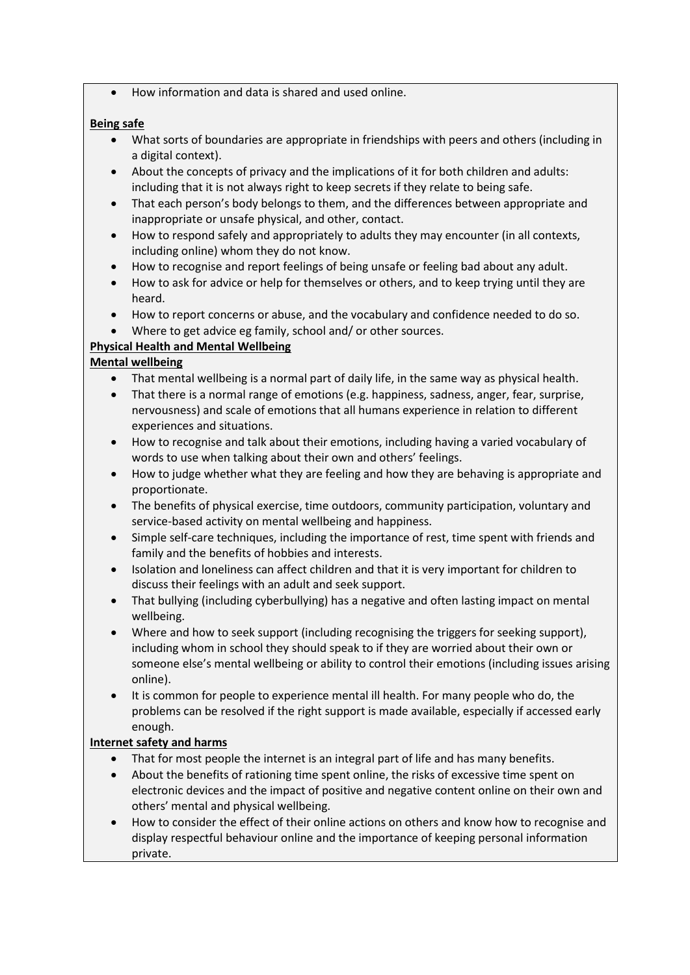How information and data is shared and used online.

## **Being safe**

- What sorts of boundaries are appropriate in friendships with peers and others (including in a digital context).
- About the concepts of privacy and the implications of it for both children and adults: including that it is not always right to keep secrets if they relate to being safe.
- That each person's body belongs to them, and the differences between appropriate and inappropriate or unsafe physical, and other, contact.
- How to respond safely and appropriately to adults they may encounter (in all contexts, including online) whom they do not know.
- How to recognise and report feelings of being unsafe or feeling bad about any adult.
- How to ask for advice or help for themselves or others, and to keep trying until they are heard.
- How to report concerns or abuse, and the vocabulary and confidence needed to do so.
- Where to get advice eg family, school and/ or other sources.

# **Physical Health and Mental Wellbeing**

## **Mental wellbeing**

- That mental wellbeing is a normal part of daily life, in the same way as physical health.
- That there is a normal range of emotions (e.g. happiness, sadness, anger, fear, surprise, nervousness) and scale of emotions that all humans experience in relation to different experiences and situations.
- How to recognise and talk about their emotions, including having a varied vocabulary of words to use when talking about their own and others' feelings.
- How to judge whether what they are feeling and how they are behaving is appropriate and proportionate.
- The benefits of physical exercise, time outdoors, community participation, voluntary and service-based activity on mental wellbeing and happiness.
- Simple self-care techniques, including the importance of rest, time spent with friends and family and the benefits of hobbies and interests.
- Isolation and loneliness can affect children and that it is very important for children to discuss their feelings with an adult and seek support.
- That bullying (including cyberbullying) has a negative and often lasting impact on mental wellbeing.
- Where and how to seek support (including recognising the triggers for seeking support), including whom in school they should speak to if they are worried about their own or someone else's mental wellbeing or ability to control their emotions (including issues arising online).
- It is common for people to experience mental ill health. For many people who do, the problems can be resolved if the right support is made available, especially if accessed early enough.

# **Internet safety and harms**

- That for most people the internet is an integral part of life and has many benefits.
- About the benefits of rationing time spent online, the risks of excessive time spent on electronic devices and the impact of positive and negative content online on their own and others' mental and physical wellbeing.
- How to consider the effect of their online actions on others and know how to recognise and display respectful behaviour online and the importance of keeping personal information private.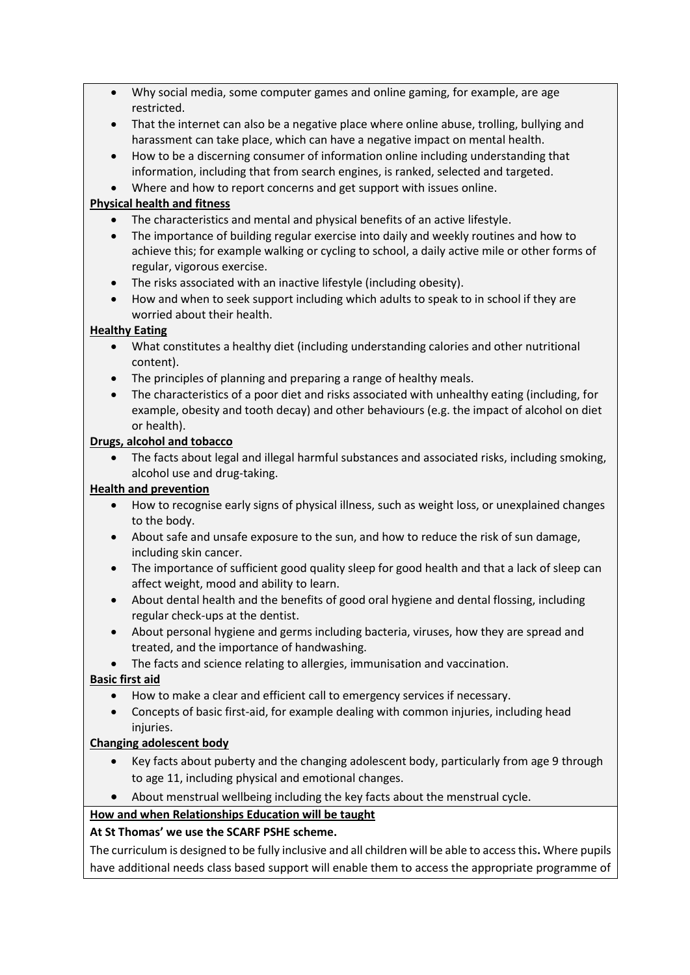- Why social media, some computer games and online gaming, for example, are age restricted.
- That the internet can also be a negative place where online abuse, trolling, bullying and harassment can take place, which can have a negative impact on mental health.
- How to be a discerning consumer of information online including understanding that information, including that from search engines, is ranked, selected and targeted.
- Where and how to report concerns and get support with issues online.

## **Physical health and fitness**

- The characteristics and mental and physical benefits of an active lifestyle.
- The importance of building regular exercise into daily and weekly routines and how to achieve this; for example walking or cycling to school, a daily active mile or other forms of regular, vigorous exercise.
- The risks associated with an inactive lifestyle (including obesity).
- How and when to seek support including which adults to speak to in school if they are worried about their health.

## **Healthy Eating**

- What constitutes a healthy diet (including understanding calories and other nutritional content).
- The principles of planning and preparing a range of healthy meals.
- The characteristics of a poor diet and risks associated with unhealthy eating (including, for example, obesity and tooth decay) and other behaviours (e.g. the impact of alcohol on diet or health).

## **Drugs, alcohol and tobacco**

 The facts about legal and illegal harmful substances and associated risks, including smoking, alcohol use and drug-taking.

### **Health and prevention**

- How to recognise early signs of physical illness, such as weight loss, or unexplained changes to the body.
- About safe and unsafe exposure to the sun, and how to reduce the risk of sun damage, including skin cancer.
- The importance of sufficient good quality sleep for good health and that a lack of sleep can affect weight, mood and ability to learn.
- About dental health and the benefits of good oral hygiene and dental flossing, including regular check-ups at the dentist.
- About personal hygiene and germs including bacteria, viruses, how they are spread and treated, and the importance of handwashing.
- The facts and science relating to allergies, immunisation and vaccination.

# **Basic first aid**

- How to make a clear and efficient call to emergency services if necessary.
- Concepts of basic first-aid, for example dealing with common injuries, including head injuries.

### **Changing adolescent body**

- Key facts about puberty and the changing adolescent body, particularly from age 9 through to age 11, including physical and emotional changes.
- About menstrual wellbeing including the key facts about the menstrual cycle.

# **How and when Relationships Education will be taught**

# **At St Thomas' we use the SCARF PSHE scheme.**

The curriculum is designed to be fully inclusive and all children will be able to access this**.** Where pupils have additional needs class based support will enable them to access the appropriate programme of